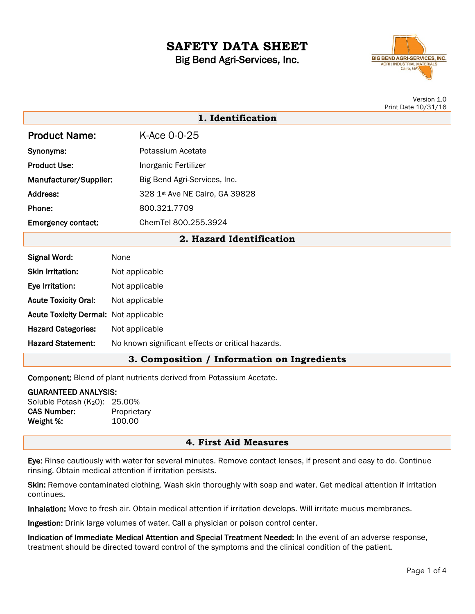# **SAFETY DATA SHEET** Big Bend Agri-Services, Inc.



Version 1.0 Print Date 10/31/16

| 1. Identification           |                                |  |  |  |
|-----------------------------|--------------------------------|--|--|--|
| <b>Product Name:</b>        | K-Ace 0-0-25                   |  |  |  |
| Synonyms:                   | Potassium Acetate              |  |  |  |
| <b>Product Use:</b>         | Inorganic Fertilizer           |  |  |  |
| Manufacturer/Supplier:      | Big Bend Agri-Services, Inc.   |  |  |  |
| Address:                    | 328 1st Ave NE Cairo, GA 39828 |  |  |  |
| Phone:                      | 800.321.7709                   |  |  |  |
| <b>Emergency contact:</b>   | ChemTel 800.255.3924           |  |  |  |
| 2. Hazard Identification    |                                |  |  |  |
| <b>Signal Word:</b>         | None                           |  |  |  |
| <b>Skin Irritation:</b>     | Not applicable                 |  |  |  |
| Eye Irritation:             | Not applicable                 |  |  |  |
| <b>Acute Toxicity Oral:</b> | Not applicable                 |  |  |  |

Hazard Categories: Not applicable

Acute Toxicity Dermal: Not applicable

Hazard Statement: No known significant effects or critical hazards.

### **3. Composition / Information on Ingredients**

Component: Blend of plant nutrients derived from Potassium Acetate.

#### GUARANTEED ANALYSIS:

Soluble Potash (K<sub>2</sub>0): 25.00% CAS Number: Proprietary Weight %: 100.00

### **4. First Aid Measures**

Eye: Rinse cautiously with water for several minutes. Remove contact lenses, if present and easy to do. Continue rinsing. Obtain medical attention if irritation persists.

Skin: Remove contaminated clothing. Wash skin thoroughly with soap and water. Get medical attention if irritation continues.

Inhalation: Move to fresh air. Obtain medical attention if irritation develops. Will irritate mucus membranes.

Ingestion: Drink large volumes of water. Call a physician or poison control center.

Indication of Immediate Medical Attention and Special Treatment Needed: In the event of an adverse response, treatment should be directed toward control of the symptoms and the clinical condition of the patient.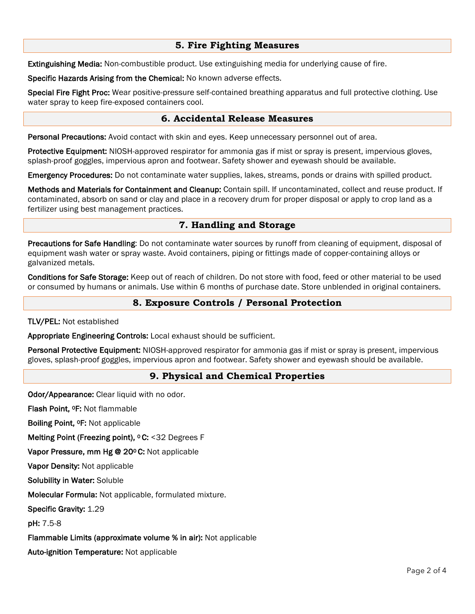# **5. Fire Fighting Measures**

Extinguishing Media: Non-combustible product. Use extinguishing media for underlying cause of fire.

Specific Hazards Arising from the Chemical: No known adverse effects.

Special Fire Fight Proc: Wear positive-pressure self-contained breathing apparatus and full protective clothing. Use water spray to keep fire-exposed containers cool.

# **6. Accidental Release Measures**

Personal Precautions: Avoid contact with skin and eyes. Keep unnecessary personnel out of area.

Protective Equipment: NIOSH-approved respirator for ammonia gas if mist or spray is present, impervious gloves, splash-proof goggles, impervious apron and footwear. Safety shower and eyewash should be available.

Emergency Procedures: Do not contaminate water supplies, lakes, streams, ponds or drains with spilled product.

Methods and Materials for Containment and Cleanup: Contain spill. If uncontaminated, collect and reuse product. If contaminated, absorb on sand or clay and place in a recovery drum for proper disposal or apply to crop land as a fertilizer using best management practices.

# **7. Handling and Storage**

Precautions for Safe Handling: Do not contaminate water sources by runoff from cleaning of equipment, disposal of equipment wash water or spray waste. Avoid containers, piping or fittings made of copper-containing alloys or galvanized metals.

Conditions for Safe Storage: Keep out of reach of children. Do not store with food, feed or other material to be used or consumed by humans or animals. Use within 6 months of purchase date. Store unblended in original containers.

# **8. Exposure Controls / Personal Protection**

### TLV/PEL: Not established

Appropriate Engineering Controls: Local exhaust should be sufficient.

Personal Protective Equipment: NIOSH-approved respirator for ammonia gas if mist or spray is present, impervious gloves, splash-proof goggles, impervious apron and footwear. Safety shower and eyewash should be available.

# **9. Physical and Chemical Properties**

Odor/Appearance: Clear liquid with no odor.

Flash Point, 0F: Not flammable

Boiling Point, 0F: Not applicable

Melting Point (Freezing point), <sup>o</sup> C: <32 Degrees F

Vapor Pressure, mm Hg @ 20ºC: Not applicable

Vapor Density: Not applicable

Solubility in Water: Soluble

Molecular Formula: Not applicable, formulated mixture.

Specific Gravity: 1.29

pH: 7.5-8

Flammable Limits (approximate volume % in air): Not applicable

Auto-ignition Temperature: Not applicable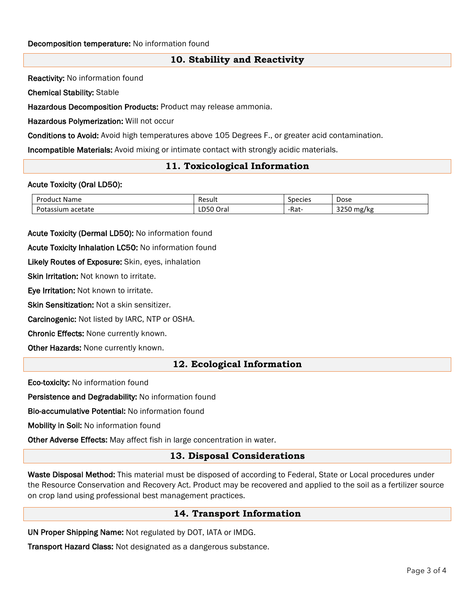# **10. Stability and Reactivity**

Reactivity: No information found

Chemical Stability: Stable

Hazardous Decomposition Products: Product may release ammonia.

Hazardous Polymerization: Will not occur

Conditions to Avoid: Avoid high temperatures above 105 Degrees F., or greater acid contamination.

Incompatible Materials: Avoid mixing or intimate contact with strongly acidic materials.

### **11. Toxicological Information**

#### Acute Toxicity (Oral LD50):

| -<br>Product Name            | Result    | <b>Species</b> | Dose                        |
|------------------------------|-----------|----------------|-----------------------------|
| Potassium<br>acetate<br>ota· | ∟D50 Oral | -Rat-          | 2250<br>11.7<br>mg,<br>אי י |

Acute Toxicity (Dermal LD50): No information found

Acute Toxicity Inhalation LC50: No information found

Likely Routes of Exposure: Skin, eyes, inhalation

Skin Irritation: Not known to irritate.

Eye Irritation: Not known to irritate.

Skin Sensitization: Not a skin sensitizer.

Carcinogenic: Not listed by IARC, NTP or OSHA.

Chronic Effects: None currently known.

Other Hazards: None currently known.

### **12. Ecological Information**

Eco-toxicity: No information found

Persistence and Degradability: No information found

Bio-accumulative Potential: No information found

Mobility in Soil: No information found

Other Adverse Effects: May affect fish in large concentration in water.

### **13. Disposal Considerations**

Waste Disposal Method: This material must be disposed of according to Federal, State or Local procedures under the Resource Conservation and Recovery Act. Product may be recovered and applied to the soil as a fertilizer source on crop land using professional best management practices.

### **14. Transport Information**

UN Proper Shipping Name: Not regulated by DOT, IATA or IMDG.

Transport Hazard Class: Not designated as a dangerous substance.